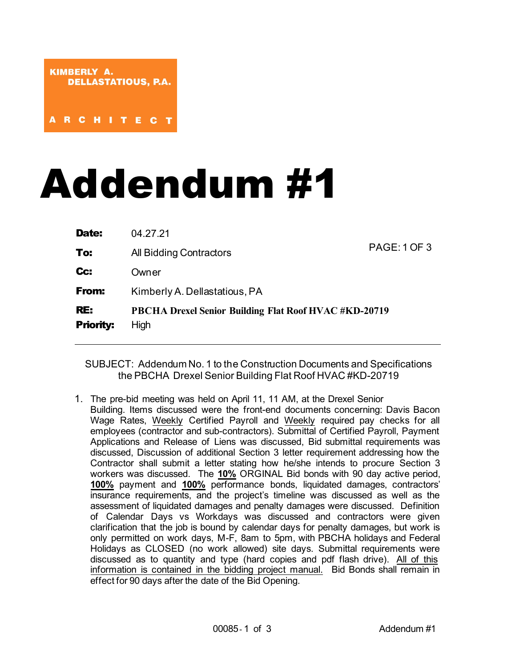## Addendum #1

| Date:            | 04.27.21                                                     | <b>PAGE: 1 OF 3</b> |
|------------------|--------------------------------------------------------------|---------------------|
| To:              | All Bidding Contractors                                      |                     |
| Cc:              | Owner                                                        |                     |
| <b>From:</b>     | Kimberly A. Dellastatious, PA                                |                     |
| RE:              | <b>PBCHA Drexel Senior Building Flat Roof HVAC #KD-20719</b> |                     |
| <b>Priority:</b> | High                                                         |                     |

SUBJECT: Addendum No. 1 to the Construction Documents and Specifications the PBCHA Drexel Senior Building Flat Roof HVAC #KD-20719

1. The pre-bid meeting was held on April 11, 11 AM, at the Drexel Senior Building. Items discussed were the front-end documents concerning: Davis Bacon Wage Rates, Weekly Certified Payroll and Weekly required pay checks for all employees (contractor and sub-contractors). Submittal of Certified Payroll, Payment Applications and Release of Liens was discussed, Bid submittal requirements was discussed, Discussion of additional Section 3 letter requirement addressing how the Contractor shall submit a letter stating how he/she intends to procure Section 3 workers was discussed. The **10%** ORGINAL Bid bonds with 90 day active period, **100%** payment and **100%** performance bonds, liquidated damages, contractors' insurance requirements, and the project's timeline was discussed as well as the assessment of liquidated damages and penalty damages were discussed. Definition of Calendar Days vs Workdays was discussed and contractors were given clarification that the job is bound by calendar days for penalty damages, but work is only permitted on work days, M-F, 8am to 5pm, with PBCHA holidays and Federal Holidays as CLOSED (no work allowed) site days. Submittal requirements were discussed as to quantity and type (hard copies and pdf flash drive). All of this information is contained in the bidding project manual. Bid Bonds shall remain in effect for 90 days after the date of the Bid Opening.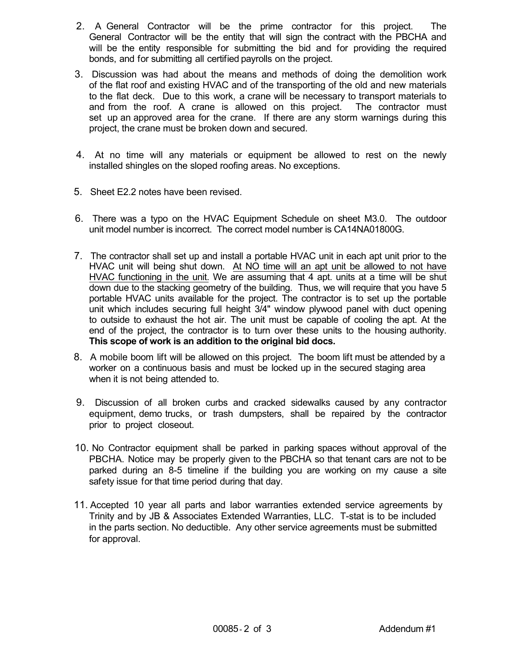- 2. A General Contractor will be the prime contractor for this project. The General Contractor will be the entity that will sign the contract with the PBCHA and will be the entity responsible for submitting the bid and for providing the required bonds, and for submitting all certified payrolls on the project.
- 3. Discussion was had about the means and methods of doing the demolition work of the flat roof and existing HVAC and of the transporting of the old and new materials to the flat deck. Due to this work, a crane will be necessary to transport materials to and from the roof. A crane is allowed on this project. The contractor must set up an approved area for the crane. If there are any storm warnings during this project, the crane must be broken down and secured.
- 4. At no time will any materials or equipment be allowed to rest on the newly installed shingles on the sloped roofing areas. No exceptions.
- 5. Sheet E2.2 notes have been revised.
- 6. There was a typo on the HVAC Equipment Schedule on sheet M3.0. The outdoor unit model number is incorrect. The correct model number is CA14NA01800G.
- 7. The contractor shall set up and install a portable HVAC unit in each apt unit prior to the HVAC unit will being shut down. At NO time will an apt unit be allowed to not have HVAC functioning in the unit. We are assuming that 4 apt. units at a time will be shut down due to the stacking geometry of the building. Thus, we will require that you have 5 portable HVAC units available for the project. The contractor is to set up the portable unit which includes securing full height 3/4" window plywood panel with duct opening to outside to exhaust the hot air. The unit must be capable of cooling the apt. At the end of the project, the contractor is to turn over these units to the housing authority. **This scope of work is an addition to the original bid docs.**
- 8. A mobile boom lift will be allowed on this project. The boom lift must be attended by a worker on a continuous basis and must be locked up in the secured staging area when it is not being attended to.
- 9. Discussion of all broken curbs and cracked sidewalks caused by any contractor equipment, demo trucks, or trash dumpsters, shall be repaired by the contractor prior to project closeout.
- 10. No Contractor equipment shall be parked in parking spaces without approval of the PBCHA. Notice may be properly given to the PBCHA so that tenant cars are not to be parked during an 8-5 timeline if the building you are working on my cause a site safety issue for that time period during that day.
- 11. Accepted 10 year all parts and labor warranties extended service agreements by Trinity and by JB & Associates Extended Warranties, LLC. T-stat is to be included in the parts section. No deductible. Any other service agreements must be submitted for approval.